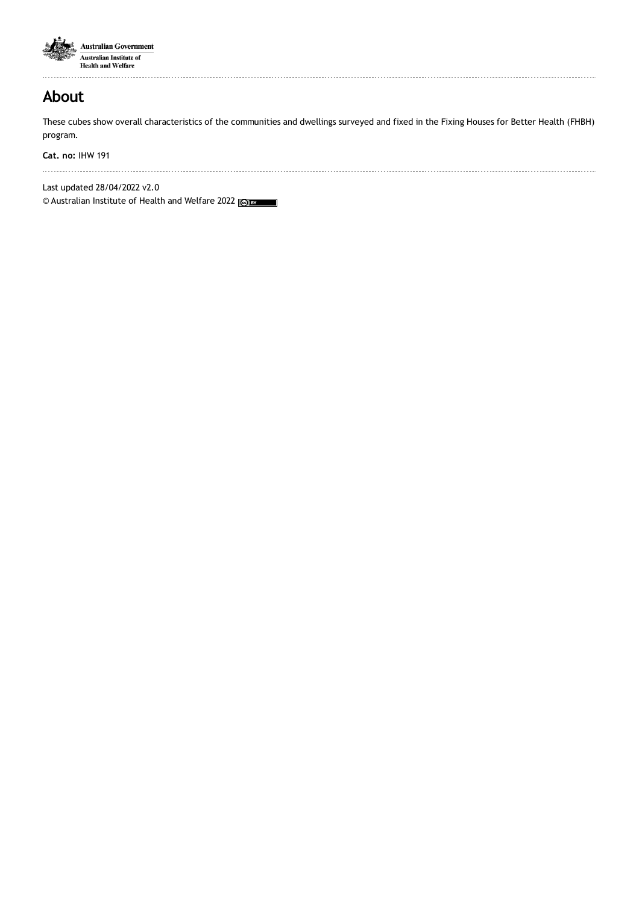

**About**

These cubes show overall characteristics of the communities and dwellings surveyed and fixed in the Fixing Houses for Better Health (FHBH) program.

**Cat. no:** IHW 191

Last updated 28/04/2022 v2.0

© Australian Institute of Health and Welfare 2022 (@) BY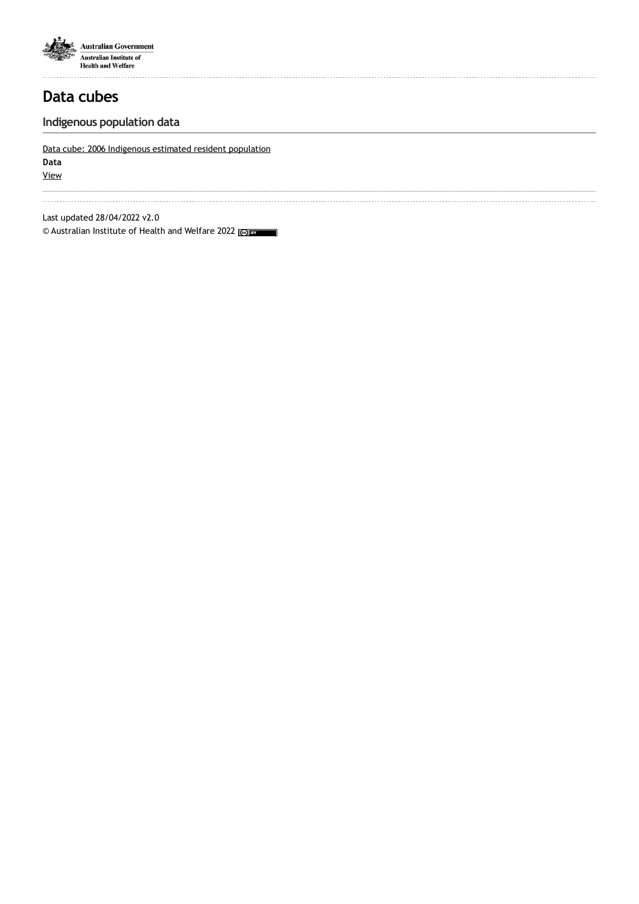

## **Indigenous population data**

### Data cube: 2006 [Indigenous](http://reporting.aihw.gov.au/Reports/openRVUrl.do?rsRID=SBIP%3A%2F%2FMETASERVER%2FAIHW%2FReleasedPublic%2FFixing Housing%2FReports%2FFHBH_Indigenous_ERP_2006.srx%28Report%29) estimated resident population

**Data**

[View](http://reporting.aihw.gov.au/Reports/openRVUrl.do?rsRID=SBIP%3A%2F%2FMETASERVER%2FAIHW%2FReleasedPublic%2FFixing Housing%2FReports%2FFHBH_Indigenous_ERP_2006.srx%28Report%29)

Last updated 28/04/2022 v2.0

© Australian Institute of Health and Welfare 2022 $\overline{\phantom{0}}$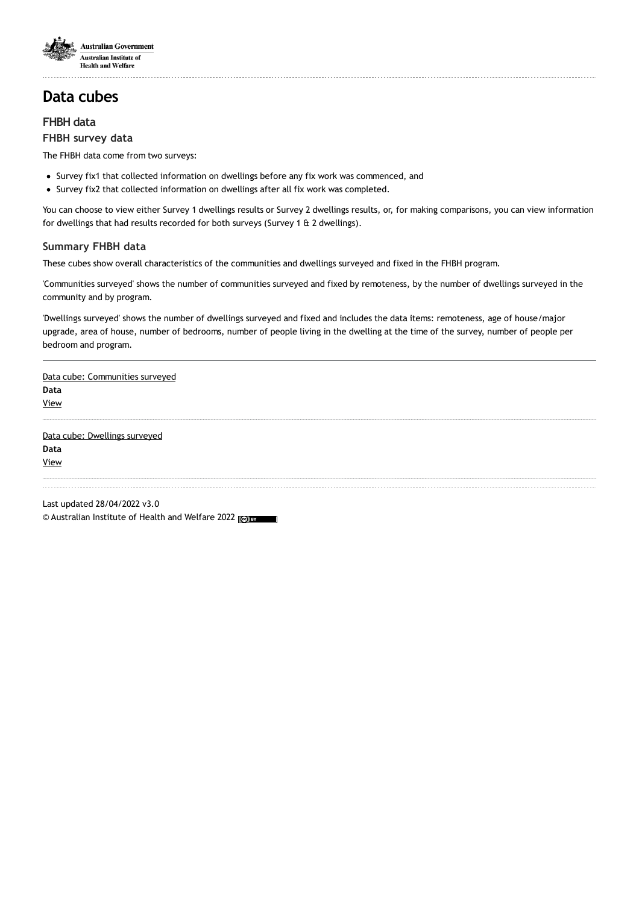

### **FHBH data**

#### **FHBH survey data**

The FHBH data come from two surveys:

- Survey fix1 that collected information on dwellings before any fix work was commenced, and
- Survey fix2 that collected information on dwellings after all fix work was completed.

You can choose to view either Survey 1 dwellings results or Survey 2 dwellings results, or, for making comparisons, you can view information for dwellings that had results recorded for both surveys (Survey 1 & 2 dwellings).

### **Summary FHBH data**

These cubes show overall characteristics of the communities and dwellings surveyed and fixed in the FHBH program.

'Communities surveyed' shows the number of communities surveyed and fixed by remoteness, by the number of dwellings surveyed in the community and by program.

'Dwellings surveyed' shows the number of dwellings surveyed and fixed and includes the data items: remoteness, age of house/major upgrade, area of house, number of bedrooms, number of people living in the dwelling at the time of the survey, number of people per bedroom and program.

Data cube: [Communities](http://reporting.aihw.gov.au/Reports/openRVUrl.do?rsRID=SBIP%3A%2F%2FMETASERVER%2FAIHW%2FReleasedPublic%2FFixing Housing%2FReports%2FFHBH_Characterstics_of_communities_surveyed.srx%28Report%29) surveyed **Data** [View](http://reporting.aihw.gov.au/Reports/openRVUrl.do?rsRID=SBIP%3A%2F%2FMETASERVER%2FAIHW%2FReleasedPublic%2FFixing Housing%2FReports%2FFHBH_Characterstics_of_communities_surveyed.srx%28Report%29)

Data cube: [Dwellings](http://reporting.aihw.gov.au/Reports/openRVUrl.do?rsRID=SBIP%3A%2F%2FMETASERVER%2FAIHW%2FReleasedPublic%2FFixing Housing%2FReports%2FFHBH_Characterstics_of_dwellings_surveyed.srx%28Report%29) surveyed **Data** [View](http://reporting.aihw.gov.au/Reports/openRVUrl.do?rsRID=SBIP%3A%2F%2FMETASERVER%2FAIHW%2FReleasedPublic%2FFixing Housing%2FReports%2FFHBH_Characterstics_of_dwellings_surveyed.srx%28Report%29)

Last updated 28/04/2022 v3.0 © Australian Institute of Health and Welfare 2022 (@) BY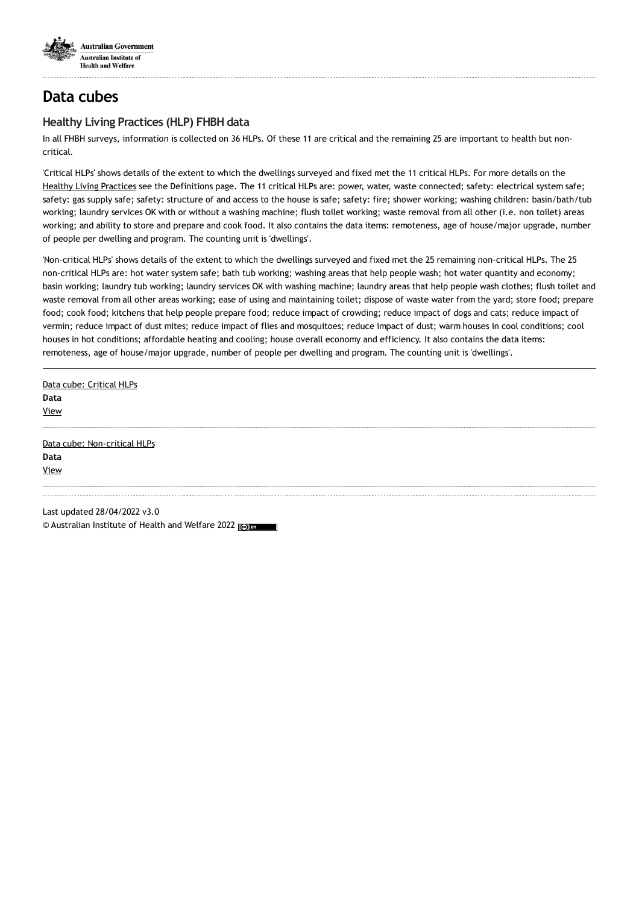

## **Healthy Living Practices (HLP) FHBH data**

In all FHBH surveys, information is collected on 36 HLPs. Of these 11 are critical and the remaining 25 are important to health but noncritical.

'Critical HLPs' shows details of the extent to which the dwellings surveyed and fixed met the 11 critical HLPs. For more details on the Healthy Living [Practices](https://www.aihw.gov.au/reports/indigenous-australians/fhbh-data-cubes/contents/definitions) see the Definitions page. The 11 critical HLPs are: power, water, waste connected; safety: electrical system safe; safety: gas supply safe; safety: structure of and access to the house is safe; safety: fire; shower working; washing children: basin/bath/tub working; laundry services OK with or without a washing machine; flush toilet working; waste removal from all other (i.e. non toilet) areas working; and ability to store and prepare and cook food. It also contains the data items: remoteness, age of house/major upgrade, number of people per dwelling and program. The counting unit is 'dwellings'.

'Non-critical HLPs' shows details of the extent to which the dwellings surveyed and fixed met the 25 remaining non-critical HLPs. The 25 non-critical HLPs are: hot water system safe; bath tub working; washing areas that help people wash; hot water quantity and economy; basin working; laundry tub working; laundry services OK with washing machine; laundry areas that help people wash clothes; flush toilet and waste removal from all other areas working; ease of using and maintaining toilet; dispose of waste water from the yard; store food; prepare food; cook food; kitchens that help people prepare food; reduce impact of crowding; reduce impact of dogs and cats; reduce impact of vermin; reduce impact of dust mites; reduce impact of flies and mosquitoes; reduce impact of dust; warm houses in cool conditions; cool houses in hot conditions; affordable heating and cooling; house overall economy and efficiency. It also contains the data items: remoteness, age of house/major upgrade, number of people per dwelling and program. The counting unit is 'dwellings'.

Data cube: [Critical](http://reporting.aihw.gov.au/Reports/openRVUrl.do?rsRID=SBIP%3A%2F%2FMETASERVER%2FAIHW%2FReleasedPublic%2FFixing Housing%2FReports%2FFHBH_All_HLP_critical.srx%28Report%29) HLPs **Data** [View](http://reporting.aihw.gov.au/Reports/openRVUrl.do?rsRID=SBIP%3A%2F%2FMETASERVER%2FAIHW%2FReleasedPublic%2FFixing Housing%2FReports%2FFHBH_All_HLP_critical.srx%28Report%29) Data cube: [Non-critical](http://reporting.aihw.gov.au/Reports/openRVUrl.do?rsRID=SBIP%3A%2F%2FMETASERVER%2FAIHW%2FReleasedPublic%2FFixing Housing%2FReports%2FFHBH_All_HLP_non_critical.srx%28Report%29) HLPs **Data** [View](http://reporting.aihw.gov.au/Reports/openRVUrl.do?rsRID=SBIP%3A%2F%2FMETASERVER%2FAIHW%2FReleasedPublic%2FFixing Housing%2FReports%2FFHBH_All_HLP_non_critical.srx%28Report%29)

Last updated 28/04/2022 v3.0 © Australian Institute of Health and Welfare 2022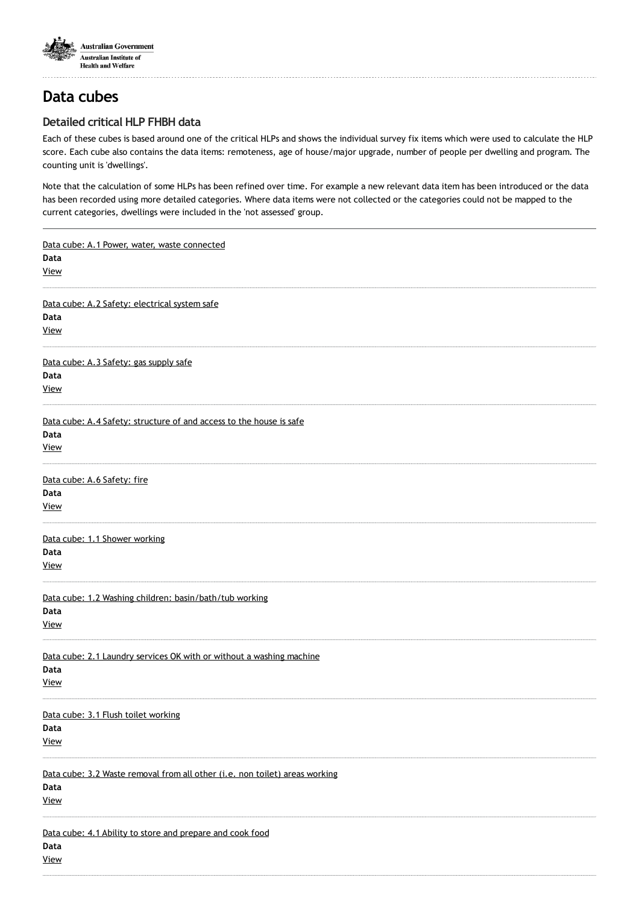

. . . . . . . . . . . . .

# **Data cubes**

## **Detailed critical HLP FHBH data**

Each of these cubes is based around one of the critical HLPs and shows the individual survey fix items which were used to calculate the HLP score. Each cube also contains the data items: remoteness, age of house/major upgrade, number of people per dwelling and program. The counting unit is 'dwellings'.

Note that the calculation of some HLPs has been refined over time. For example a new relevant data item has been introduced or the data has been recorded using more detailed categories. Where data items were not collected or the categories could not be mapped to the current categories, dwellings were included in the 'not assessed' group.

| Data cube: A.1 Power, water, waste connected<br>Data<br><b>View</b>                                |
|----------------------------------------------------------------------------------------------------|
| Data cube: A.2 Safety: electrical system safe<br>Data<br><b>View</b>                               |
| Data cube: A.3 Safety: gas supply safe<br>Data<br><b>View</b>                                      |
| Data cube: A.4 Safety: structure of and access to the house is safe<br>Data<br><b>View</b>         |
| Data cube: A.6 Safety: fire<br>Data<br><b>View</b>                                                 |
| Data cube: 1.1 Shower working<br>Data<br><b>View</b>                                               |
| Data cube: 1.2 Washing children: basin/bath/tub working<br>Data<br><b>View</b>                     |
| Data cube: 2.1 Laundry services OK with or without a washing machine<br>Data<br><b>View</b>        |
| Data cube: 3.1 Flush toilet working<br>Data<br><b>View</b>                                         |
| Data cube: 3.2 Waste removal from all other (i.e. non toilet) areas working<br>Data<br><b>View</b> |
| Data cube: 4.1 Ability to store and prepare and cook food<br>Data<br><b>View</b>                   |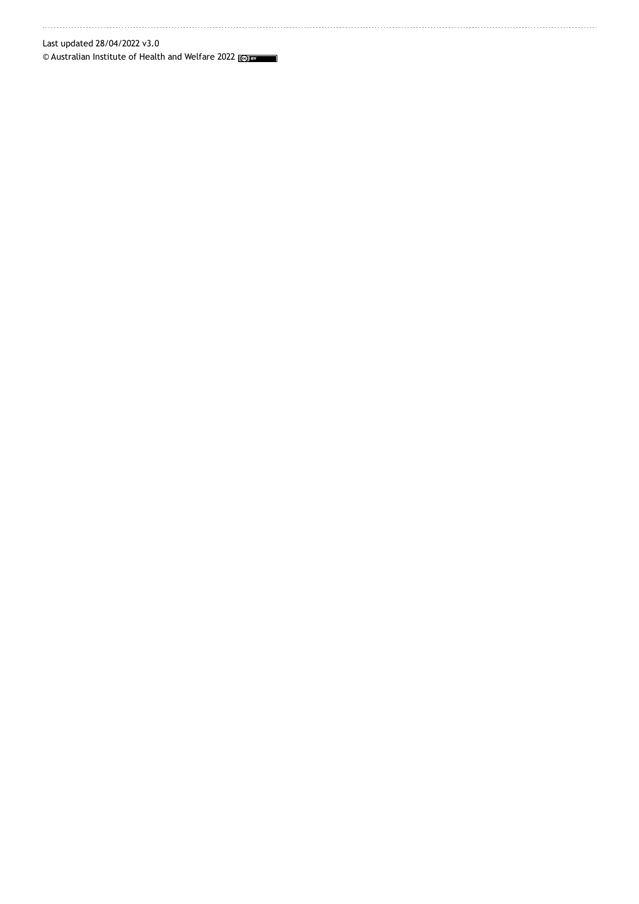### Last updated 28/04/2022 v3.0

© Australian Institute of Health and Welfare 2022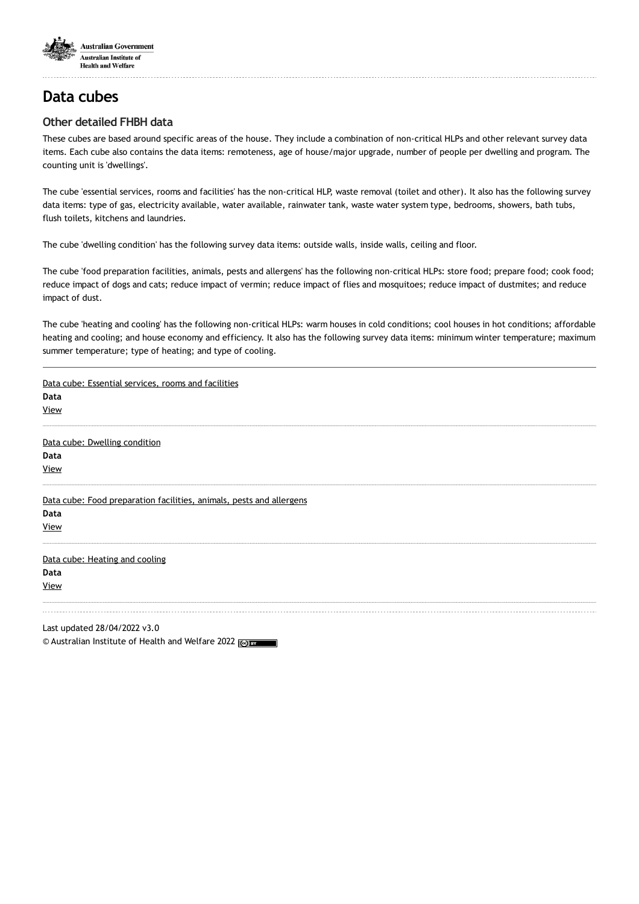

## **Other detailed FHBH data**

These cubes are based around specific areas of the house. They include a combination of non-critical HLPs and other relevant survey data items. Each cube also contains the data items: remoteness, age of house/major upgrade, number of people per dwelling and program. The counting unit is 'dwellings'.

The cube 'essential services, rooms and facilities' has the non-critical HLP, waste removal (toilet and other). It also has the following survey data items: type of gas, electricity available, water available, rainwater tank, waste water system type, bedrooms, showers, bath tubs, flush toilets, kitchens and laundries.

The cube 'dwelling condition' has the following survey data items: outside walls, inside walls, ceiling and floor.

The cube 'food preparation facilities, animals, pests and allergens' has the following non-critical HLPs: store food; prepare food; cook food; reduce impact of dogs and cats; reduce impact of vermin; reduce impact of flies and mosquitoes; reduce impact of dustmites; and reduce impact of dust.

The cube 'heating and cooling' has the following non-critical HLPs: warm houses in cold conditions; cool houses in hot conditions; affordable heating and cooling; and house economy and efficiency. It also has the following survey data items: minimum winter temperature; maximum summer temperature; type of heating; and type of cooling.

| Data cube: Essential services, rooms and facilities                  |
|----------------------------------------------------------------------|
| Data                                                                 |
| View                                                                 |
| Data cube: Dwelling condition                                        |
| Data                                                                 |
| <b>View</b>                                                          |
| Data cube: Food preparation facilities, animals, pests and allergens |
| Data                                                                 |
| <b>View</b>                                                          |
| Data cube: Heating and cooling                                       |
| Data                                                                 |
| <b>View</b>                                                          |
| Last updated 28/04/2022 v3.0                                         |

© Australian Institute of Health and Welfare 2022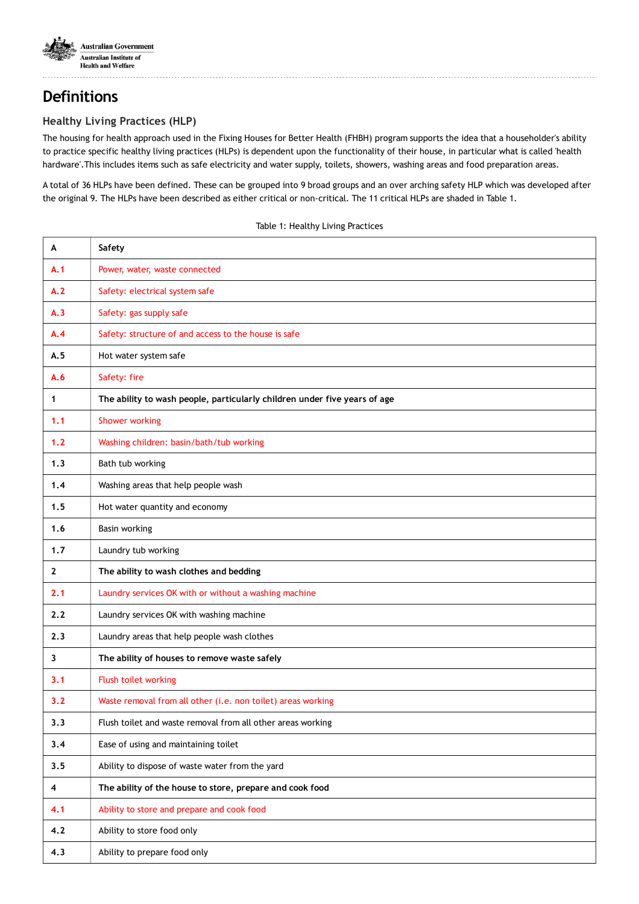

# **Definitions**

## **Healthy Living Practices (HLP)**

The housing for health approach used in the Fixing Houses for Better Health (FHBH) program supports the idea that a householder's ability to practice specific healthy living practices (HLPs) is dependent upon the functionality of their house, in particular what is called 'health hardware'.This includes items such as safe electricity and water supply, toilets, showers, washing areas and food preparation areas.

A total of 36 HLPs have been defined. These can be grouped into 9 broad groups and an over arching safety HLP which was developed after the original 9. The HLPs have been described as either critical or non-critical. The 11 critical HLPs are shaded in Table 1.

| A                       | Safety                                                                    |
|-------------------------|---------------------------------------------------------------------------|
| A.1                     | Power, water, waste connected                                             |
| A.2                     | Safety: electrical system safe                                            |
| A.3                     | Safety: gas supply safe                                                   |
| A.4                     | Safety: structure of and access to the house is safe                      |
| A.5                     | Hot water system safe                                                     |
| A.6                     | Safety: fire                                                              |
| 1                       | The ability to wash people, particularly children under five years of age |
| 1.1                     | <b>Shower working</b>                                                     |
| 1.2                     | Washing children: basin/bath/tub working                                  |
| 1.3                     | Bath tub working                                                          |
| 1.4                     | Washing areas that help people wash                                       |
| 1.5                     | Hot water quantity and economy                                            |
| 1.6                     | Basin working                                                             |
| 1.7                     | Laundry tub working                                                       |
| $\mathbf{2}$            | The ability to wash clothes and bedding                                   |
| 2.1                     | Laundry services OK with or without a washing machine                     |
| 2.2                     | Laundry services OK with washing machine                                  |
| 2.3                     | Laundry areas that help people wash clothes                               |
| 3                       | The ability of houses to remove waste safely                              |
| 3.1                     | Flush toilet working                                                      |
| 3.2                     | Waste removal from all other (i.e. non toilet) areas working              |
| 3.3                     | Flush toilet and waste removal from all other areas working               |
| 3.4                     | Ease of using and maintaining toilet                                      |
| 3.5                     | Ability to dispose of waste water from the yard                           |
| $\overline{\mathbf{4}}$ | The ability of the house to store, prepare and cook food                  |
| 4.1                     | Ability to store and prepare and cook food                                |
| 4.2                     | Ability to store food only                                                |
| 4.3                     | Ability to prepare food only                                              |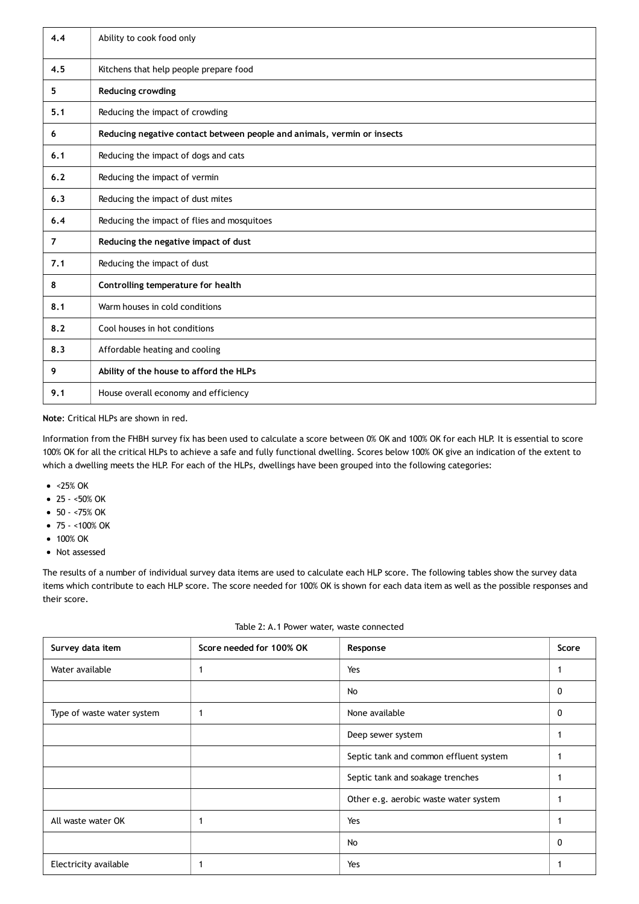| 4.4            | Ability to cook food only                                               |
|----------------|-------------------------------------------------------------------------|
| 4.5            | Kitchens that help people prepare food                                  |
| 5.             | <b>Reducing crowding</b>                                                |
| 5.1            | Reducing the impact of crowding                                         |
| 6              | Reducing negative contact between people and animals, vermin or insects |
| 6.1            | Reducing the impact of dogs and cats                                    |
| 6.2            | Reducing the impact of vermin                                           |
| 6.3            | Reducing the impact of dust mites                                       |
| 6.4            | Reducing the impact of flies and mosquitoes                             |
| $\overline{7}$ | Reducing the negative impact of dust                                    |
| 7.1            | Reducing the impact of dust                                             |
| 8              | Controlling temperature for health                                      |
| 8.1            | Warm houses in cold conditions                                          |
| 8.2            | Cool houses in hot conditions                                           |
| 8.3            | Affordable heating and cooling                                          |
| 9              | Ability of the house to afford the HLPs                                 |
| 9.1            | House overall economy and efficiency                                    |

#### **Note**: Critical HLPs are shown in red.

Information from the FHBH survey fix has been used to calculate a score between 0% OK and 100% OK for each HLP. It is essential to score 100% OK for all the critical HLPs to achieve a safe and fully functional dwelling. Scores below 100% OK give an indication of the extent to which a dwelling meets the HLP. For each of the HLPs, dwellings have been grouped into the following categories:

- <25% OK
- 25 <50% OK
- 50 <75% OK
- $\bullet$  75 <100% OK
- 100% OK
- Not assessed

The results of a number of individual survey data items are used to calculate each HLP score. The following tables show the survey data items which contribute to each HLP score. The score needed for 100% OK is shown for each data item as well as the possible responses and their score.

| Survey data item           | Score needed for 100% OK | Response                               | Score |
|----------------------------|--------------------------|----------------------------------------|-------|
| Water available            |                          | Yes                                    |       |
|                            |                          | No                                     | 0     |
| Type of waste water system |                          | None available                         | 0     |
|                            |                          | Deep sewer system                      |       |
|                            |                          | Septic tank and common effluent system |       |
|                            |                          | Septic tank and soakage trenches       |       |
|                            |                          | Other e.g. aerobic waste water system  |       |
| All waste water OK         |                          | Yes                                    |       |
|                            |                          | No                                     | 0     |
| Electricity available      |                          | Yes                                    |       |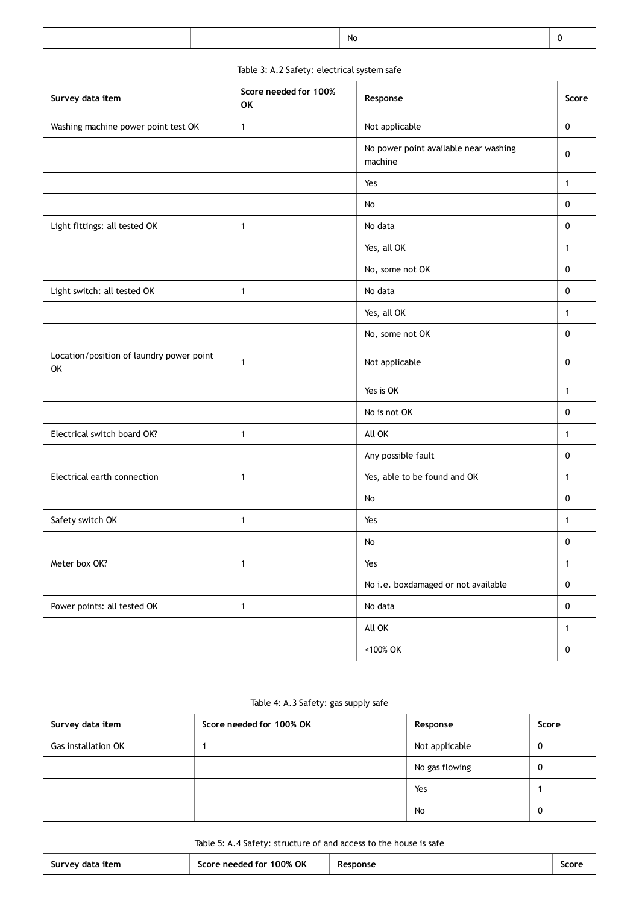|--|

### Table 3: A.2 Safety: electrical system safe

| Survey data item                               | Score needed for 100%<br><b>OK</b> | Response                                         | Score        |
|------------------------------------------------|------------------------------------|--------------------------------------------------|--------------|
| Washing machine power point test OK            | 1                                  | Not applicable                                   | $\mathbf 0$  |
|                                                |                                    | No power point available near washing<br>machine | 0            |
|                                                |                                    | Yes                                              | $\mathbf{1}$ |
|                                                |                                    | No                                               | $\mathbf 0$  |
| Light fittings: all tested OK                  | $\mathbf{1}$                       | No data                                          | 0            |
|                                                |                                    | Yes, all OK                                      | $\mathbf{1}$ |
|                                                |                                    | No, some not OK                                  | $\mathbf 0$  |
| Light switch: all tested OK                    | $\mathbf{1}$                       | No data                                          | $\mathbf 0$  |
|                                                |                                    | Yes, all OK                                      | $\mathbf{1}$ |
|                                                |                                    | No, some not OK                                  | $\mathbf 0$  |
| Location/position of laundry power point<br>OK | 1                                  | Not applicable                                   | 0            |
|                                                |                                    | Yes is OK                                        | $\mathbf{1}$ |
|                                                |                                    | No is not OK                                     | $\mathbf 0$  |
| Electrical switch board OK?                    | $\mathbf{1}$                       | All OK                                           | $\mathbf{1}$ |
|                                                |                                    | Any possible fault                               | 0            |
| Electrical earth connection                    | 1                                  | Yes, able to be found and OK                     | $\mathbf{1}$ |
|                                                |                                    | No                                               | 0            |
| Safety switch OK                               | $\mathbf{1}$                       | Yes                                              | 1            |
|                                                |                                    | No                                               | 0            |
| Meter box OK?                                  | 1                                  | Yes                                              | $\mathbf{1}$ |
|                                                |                                    | No i.e. boxdamaged or not available              | $\pmb{0}$    |
| Power points: all tested OK                    | $\mathbf{1}$                       | No data                                          | $\pmb{0}$    |
|                                                |                                    | All OK                                           | $\mathbf{1}$ |
|                                                |                                    | <100% OK                                         | $\mathbf 0$  |

### Table 4: A.3 Safety: gas supply safe

| Survey data item           | Score needed for 100% OK | Response       | Score |
|----------------------------|--------------------------|----------------|-------|
| <b>Gas installation OK</b> |                          | Not applicable | υ     |
|                            |                          | No gas flowing | v     |
|                            |                          | Yes            |       |
|                            |                          | No             |       |

#### Table 5: A.4 Safety: structure of and access to the house is safe

| Survey data item | 100% OK<br>Score needed<br>J for l | esponse<br>- Ke<br>____ | <b>SCOL</b> |
|------------------|------------------------------------|-------------------------|-------------|
|                  |                                    |                         |             |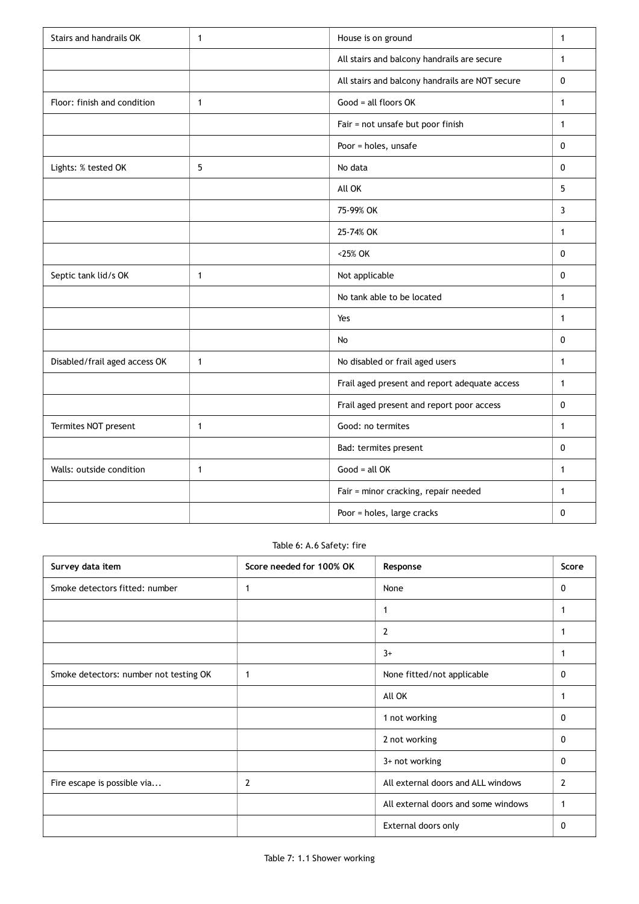| Stairs and handrails OK       | $\mathbf{1}$ | House is on ground                              | $\mathbf{1}$ |
|-------------------------------|--------------|-------------------------------------------------|--------------|
|                               |              | All stairs and balcony handrails are secure     | $\mathbf{1}$ |
|                               |              | All stairs and balcony handrails are NOT secure | 0            |
| Floor: finish and condition   | $\mathbf{1}$ | Good = all floors OK                            | $\mathbf{1}$ |
|                               |              | Fair = not unsafe but poor finish               | $\mathbf{1}$ |
|                               |              | Poor = holes, unsafe                            | $\mathbf{0}$ |
| Lights: % tested OK           | 5            | No data                                         | $\mathbf{0}$ |
|                               |              | All OK                                          | 5            |
|                               |              | 75-99% OK                                       | 3            |
|                               |              | 25-74% OK                                       | $\mathbf{1}$ |
|                               |              | <25% OK                                         | $\mathbf{0}$ |
| Septic tank lid/s OK          | $\mathbf{1}$ | Not applicable                                  | 0            |
|                               |              | No tank able to be located                      | $\mathbf{1}$ |
|                               |              | Yes                                             | $\mathbf{1}$ |
|                               |              | No                                              | $\mathbf{0}$ |
| Disabled/frail aged access OK | $\mathbf{1}$ | No disabled or frail aged users                 | 1            |
|                               |              | Frail aged present and report adequate access   | $\mathbf{1}$ |
|                               |              | Frail aged present and report poor access       | $\pmb{0}$    |
| Termites NOT present          | $\mathbf{1}$ | Good: no termites                               | $\mathbf{1}$ |
|                               |              | Bad: termites present                           | $\mathbf{0}$ |
| Walls: outside condition      | $\mathbf{1}$ | $Good = all OK$                                 | $\mathbf{1}$ |
|                               |              | Fair = minor cracking, repair needed            | $\mathbf{1}$ |
|                               |              | Poor = holes, large cracks                      | $\mathbf{0}$ |

#### Table 6: A.6 Safety: fire

| Survey data item                       | Score needed for 100% OK | Response                            | Score          |
|----------------------------------------|--------------------------|-------------------------------------|----------------|
| Smoke detectors fitted: number         | -1                       | None                                | 0              |
|                                        |                          | 1                                   | 1              |
|                                        |                          | 2                                   |                |
|                                        |                          | $3+$                                | 1              |
| Smoke detectors: number not testing OK | -1                       | None fitted/not applicable          | 0              |
|                                        |                          | All OK                              |                |
|                                        |                          | 1 not working                       | 0              |
|                                        |                          | 2 not working                       | 0              |
|                                        |                          | 3+ not working                      | $\mathbf{0}$   |
| Fire escape is possible via            | $\overline{2}$           | All external doors and ALL windows  | $\overline{2}$ |
|                                        |                          | All external doors and some windows | 1              |
|                                        |                          | External doors only                 | 0              |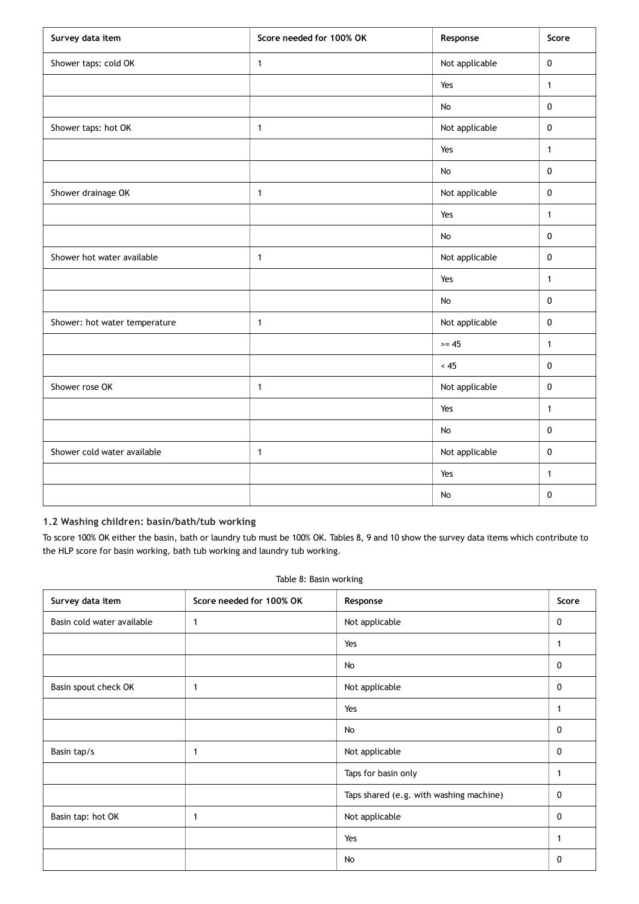| Survey data item              | Score needed for 100% OK | Response       | Score        |
|-------------------------------|--------------------------|----------------|--------------|
| Shower taps: cold OK          | $\mathbf{1}$             | Not applicable | $\pmb{0}$    |
|                               |                          | Yes            | $\mathbf{1}$ |
|                               |                          | $\mathsf{No}$  | $\pmb{0}$    |
| Shower taps: hot OK           | $\mathbf{1}$             | Not applicable | $\pmb{0}$    |
|                               |                          | Yes            | $\mathbf{1}$ |
|                               |                          | No             | $\pmb{0}$    |
| Shower drainage OK            | $\mathbf{1}$             | Not applicable | $\pmb{0}$    |
|                               |                          | Yes            | $\mathbf{1}$ |
|                               |                          | $\mathsf{No}$  | $\pmb{0}$    |
| Shower hot water available    | $\mathbf{1}$             | Not applicable | $\pmb{0}$    |
|                               |                          | Yes            | $\mathbf{1}$ |
|                               |                          | No             | $\pmb{0}$    |
| Shower: hot water temperature | $\mathbf{1}$             | Not applicable | $\pmb{0}$    |
|                               |                          | $>= 45$        | $\mathbf{1}$ |
|                               |                          | < 45           | $\pmb{0}$    |
| Shower rose OK                | $\mathbf{1}$             | Not applicable | $\mathbf 0$  |
|                               |                          | Yes            | $\mathbf{1}$ |
|                               |                          | No             | $\pmb{0}$    |
| Shower cold water available   | $\mathbf{1}$             | Not applicable | $\pmb{0}$    |
|                               |                          | Yes            | $\mathbf{1}$ |
|                               |                          | $\mathsf{No}$  | $\pmb{0}$    |

### **1.2 Washing children: basin/bath/tub working**

To score 100% OK either the basin, bath or laundry tub must be 100% OK. Tables 8, 9 and 10 show the survey data items which contribute to the HLP score for basin working, bath tub working and laundry tub working.

|  | Table 8: Basin working |
|--|------------------------|
|  |                        |

| Survey data item           | Score needed for 100% OK | Response                                | Score        |
|----------------------------|--------------------------|-----------------------------------------|--------------|
| Basin cold water available | 1                        | Not applicable                          | $\mathbf 0$  |
|                            |                          | Yes                                     | 1            |
|                            |                          | No                                      | 0            |
| Basin spout check OK       | 1                        | Not applicable                          | 0            |
|                            |                          | Yes                                     | 1            |
|                            |                          | No                                      | 0            |
| Basin tap/s                | $\mathbf{1}$             | Not applicable                          | 0            |
|                            |                          | Taps for basin only                     |              |
|                            |                          | Taps shared (e.g. with washing machine) | 0            |
| Basin tap: hot OK          | $\mathbf{1}$             | Not applicable                          | 0            |
|                            |                          | Yes                                     | $\mathbf{1}$ |
|                            |                          | No                                      | 0            |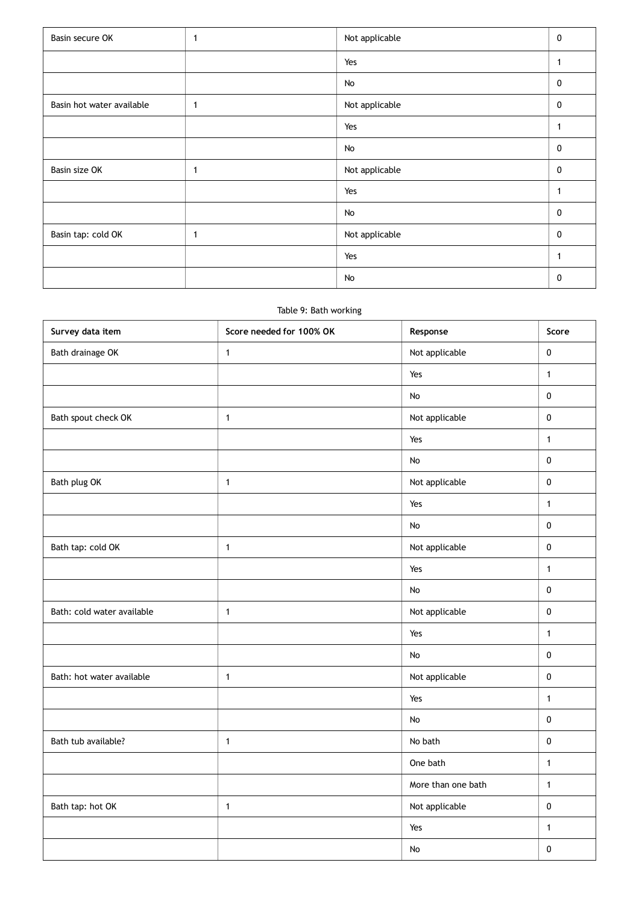| Basin secure OK           | $\mathbf{1}$ | Not applicable | $\mathbf 0$  |
|---------------------------|--------------|----------------|--------------|
|                           |              | Yes            | 1            |
|                           |              | No             | 0            |
| Basin hot water available | 1            | Not applicable | $\mathbf 0$  |
|                           |              | Yes            | $\mathbf{1}$ |
|                           |              | No             | 0            |
| Basin size OK             | $\mathbf 1$  | Not applicable | 0            |
|                           |              | Yes            |              |
|                           |              | No             | 0            |
| Basin tap: cold OK        | 1            | Not applicable | 0            |
|                           |              | Yes            | $\mathbf{1}$ |
|                           |              | No             | 0            |

#### Table 9: Bath working

| Survey data item           | Score needed for 100% OK | Response           | Score        |
|----------------------------|--------------------------|--------------------|--------------|
| Bath drainage OK           | $\mathbf{1}$             | Not applicable     | $\pmb{0}$    |
|                            |                          | Yes                | $\mathbf{1}$ |
|                            |                          | No                 | $\pmb{0}$    |
| Bath spout check OK        | $\mathbf{1}$             | Not applicable     | $\pmb{0}$    |
|                            |                          | Yes                | $\mathbf{1}$ |
|                            |                          | No                 | $\pmb{0}$    |
| Bath plug OK               | $\mathbf{1}$             | Not applicable     | $\pmb{0}$    |
|                            |                          | Yes                | $\mathbf{1}$ |
|                            |                          | No                 | $\pmb{0}$    |
| Bath tap: cold OK          | $\mathbf{1}$             | Not applicable     | $\pmb{0}$    |
|                            |                          | Yes                | $\mathbf{1}$ |
|                            |                          | No                 | $\pmb{0}$    |
| Bath: cold water available | $\mathbf{1}$             | Not applicable     | $\pmb{0}$    |
|                            |                          | Yes                | $\mathbf{1}$ |
|                            |                          | No                 | $\pmb{0}$    |
| Bath: hot water available  | $\mathbf{1}$             | Not applicable     | $\pmb{0}$    |
|                            |                          | Yes                | $\mathbf{1}$ |
|                            |                          | No                 | $\pmb{0}$    |
| Bath tub available?        | $\mathbf{1}$             | No bath            | $\pmb{0}$    |
|                            |                          | One bath           | $\mathbf{1}$ |
|                            |                          | More than one bath | $\mathbf{1}$ |
| Bath tap: hot OK           | $\mathbf{1}$             | Not applicable     | $\pmb{0}$    |
|                            |                          | Yes                | $\mathbf{1}$ |
|                            |                          | No                 | $\pmb{0}$    |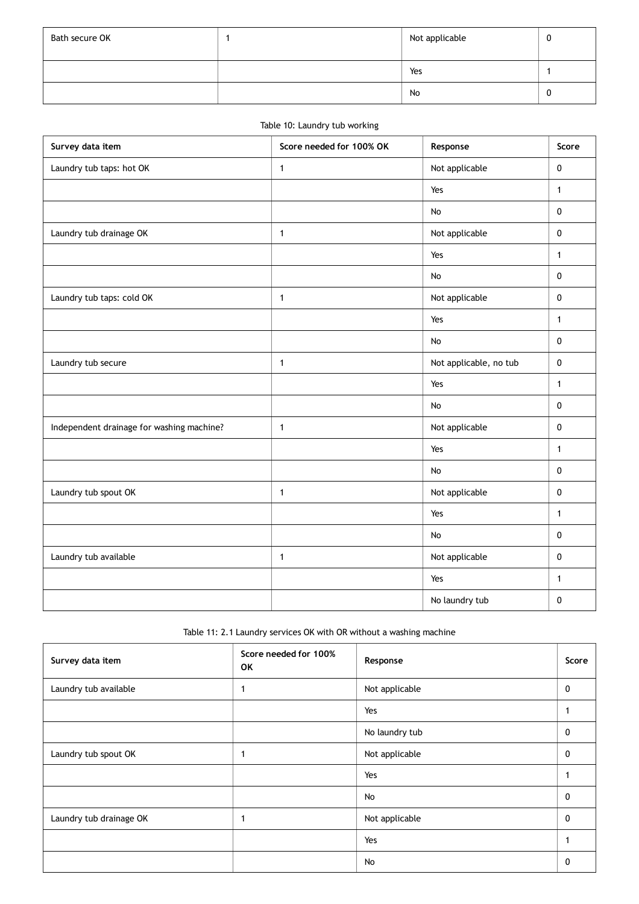| Bath secure OK | Not applicable | U |
|----------------|----------------|---|
|                | Yes            |   |
|                | No             | U |

### Table 10: Laundry tub working

| Survey data item                          | Score needed for 100% OK | Response               | Score        |
|-------------------------------------------|--------------------------|------------------------|--------------|
| Laundry tub taps: hot OK                  | $\mathbf{1}$             | Not applicable         | $\mathbf 0$  |
|                                           |                          | Yes                    | $\mathbf{1}$ |
|                                           |                          | No                     | $\pmb{0}$    |
| Laundry tub drainage OK                   | 1                        | Not applicable         | $\pmb{0}$    |
|                                           |                          | Yes                    | $\mathbf{1}$ |
|                                           |                          | $\mathsf{No}$          | $\pmb{0}$    |
| Laundry tub taps: cold OK                 | $\mathbf{1}$             | Not applicable         | $\pmb{0}$    |
|                                           |                          | Yes                    | $\mathbf{1}$ |
|                                           |                          | $\mathsf{No}$          | $\pmb{0}$    |
| Laundry tub secure                        | $\mathbf{1}$             | Not applicable, no tub | $\pmb{0}$    |
|                                           |                          | Yes                    | $\mathbf{1}$ |
|                                           |                          | No                     | $\pmb{0}$    |
| Independent drainage for washing machine? | 1                        | Not applicable         | $\mathbf 0$  |
|                                           |                          | Yes                    | $\mathbf{1}$ |
|                                           |                          | <b>No</b>              | $\pmb{0}$    |
| Laundry tub spout OK                      | 1                        | Not applicable         | $\mathbf 0$  |
|                                           |                          | Yes                    | $\mathbf{1}$ |
|                                           |                          | No                     | $\mathbf 0$  |
| Laundry tub available                     | 1                        | Not applicable         | $\mathbf 0$  |
|                                           |                          | Yes                    | $\mathbf{1}$ |
|                                           |                          | No laundry tub         | 0            |

Table 11: 2.1 Laundry services OK with OR without a washing machine

| Survey data item        | Score needed for 100%<br>OK | Response       | Score |
|-------------------------|-----------------------------|----------------|-------|
| Laundry tub available   |                             | Not applicable | 0     |
|                         |                             | Yes            |       |
|                         |                             | No laundry tub | 0     |
| Laundry tub spout OK    |                             | Not applicable | 0     |
|                         |                             | Yes            |       |
|                         |                             | No             | 0     |
| Laundry tub drainage OK |                             | Not applicable | 0     |
|                         |                             | Yes            |       |
|                         |                             | No             | 0     |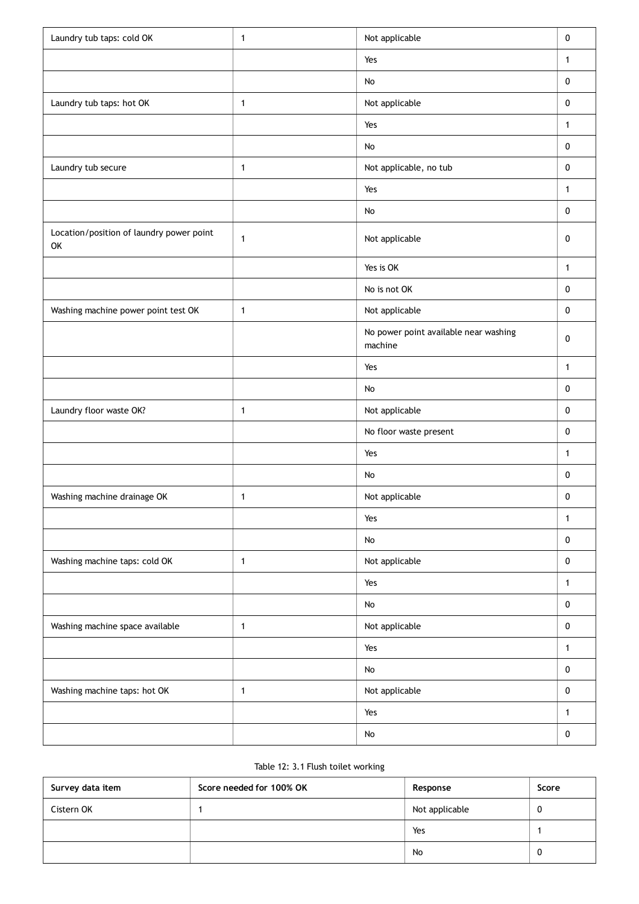| Laundry tub taps: cold OK                      | 1            | Not applicable                                   | $\pmb{0}$    |
|------------------------------------------------|--------------|--------------------------------------------------|--------------|
|                                                |              | Yes                                              | 1            |
|                                                |              | No                                               | $\pmb{0}$    |
| Laundry tub taps: hot OK                       | $\mathbf{1}$ | Not applicable                                   | 0            |
|                                                |              | Yes                                              | $\mathbf{1}$ |
|                                                |              | No                                               | $\pmb{0}$    |
| Laundry tub secure                             | $\mathbf{1}$ | Not applicable, no tub                           | $\mathbf 0$  |
|                                                |              | Yes                                              | $\mathbf{1}$ |
|                                                |              | No                                               | $\mathbf 0$  |
| Location/position of laundry power point<br>OK | 1            | Not applicable                                   | 0            |
|                                                |              | Yes is OK                                        | 1            |
|                                                |              | No is not OK                                     | $\mathbf 0$  |
| Washing machine power point test OK            | $\mathbf{1}$ | Not applicable                                   | $\mathbf 0$  |
|                                                |              | No power point available near washing<br>machine | $\pmb{0}$    |
|                                                |              | Yes                                              | 1            |
|                                                |              | No                                               | $\mathbf 0$  |
| Laundry floor waste OK?                        | 1            | Not applicable                                   | $\mathbf 0$  |
|                                                |              | No floor waste present                           | $\mathbf 0$  |
|                                                |              | Yes                                              | $\mathbf{1}$ |
|                                                |              | No                                               | $\pmb{0}$    |
| Washing machine drainage OK                    | $\mathbf{1}$ | Not applicable                                   | $\pmb{0}$    |
|                                                |              | Yes                                              | 1            |
|                                                |              | No                                               | $\mathbf 0$  |
| Washing machine taps: cold OK                  | $\mathbf{1}$ | Not applicable                                   | $\mathbf 0$  |
|                                                |              | Yes                                              | $\mathbf{1}$ |
|                                                |              | No                                               | $\mathbf 0$  |
| Washing machine space available                | $\mathbf{1}$ | Not applicable                                   | $\mathbf 0$  |
|                                                |              | Yes                                              | 1            |
|                                                |              | No                                               | $\pmb{0}$    |
| Washing machine taps: hot OK                   | $\mathbf{1}$ | Not applicable                                   | $\mathbf 0$  |
|                                                |              | Yes                                              | 1            |
|                                                |              | No                                               | $\pmb{0}$    |

## Table 12: 3.1 Flush toilet working

| Survey data item | Score needed for 100% OK | Response       | Score |
|------------------|--------------------------|----------------|-------|
| Cistern OK       |                          | Not applicable |       |
|                  |                          | Yes            |       |
|                  |                          | No             |       |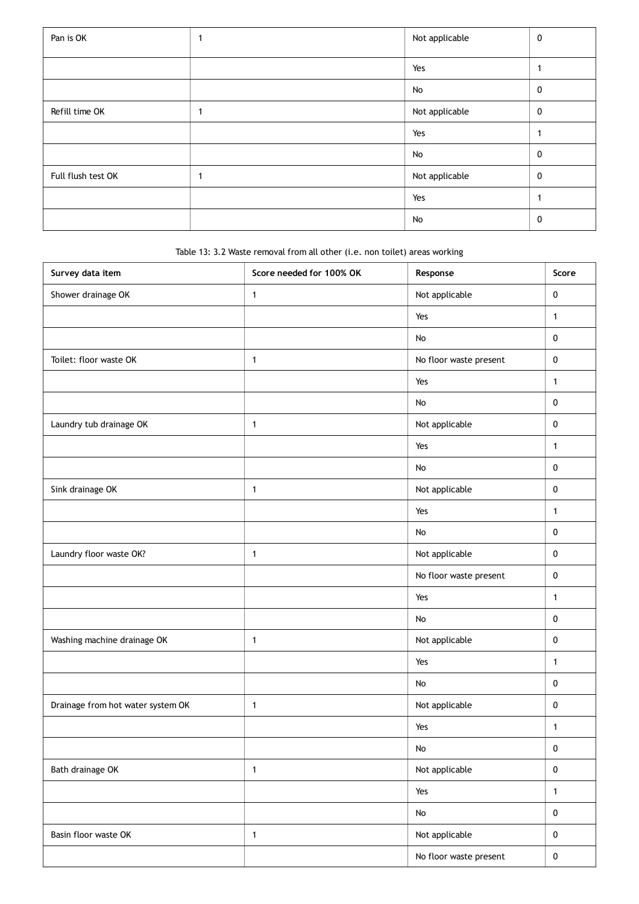| Pan is OK          | 1 | Not applicable | 0            |
|--------------------|---|----------------|--------------|
|                    |   | Yes            |              |
|                    |   | No             | $\mathbf 0$  |
| Refill time OK     |   | Not applicable | $\mathbf 0$  |
|                    |   | Yes            |              |
|                    |   | No             | $\mathbf{0}$ |
| Full flush test OK |   | Not applicable | $\mathbf 0$  |
|                    |   | Yes            |              |
|                    |   | No             | 0            |

Table 13: 3.2 Waste removal from all other (i.e. non toilet) areas working

| Survey data item                  | Score needed for 100% OK | Response               | Score        |
|-----------------------------------|--------------------------|------------------------|--------------|
| Shower drainage OK                | $\mathbf{1}$             | Not applicable         | $\pmb{0}$    |
|                                   |                          | Yes                    | $\mathbf{1}$ |
|                                   |                          | No                     | $\pmb{0}$    |
| Toilet: floor waste OK            | $\mathbf{1}$             | No floor waste present | 0            |
|                                   |                          | Yes                    | $\mathbf{1}$ |
|                                   |                          | No                     | $\pmb{0}$    |
| Laundry tub drainage OK           | $\mathbf{1}$             | Not applicable         | 0            |
|                                   |                          | Yes                    | $\mathbf{1}$ |
|                                   |                          | No                     | $\pmb{0}$    |
| Sink drainage OK                  | $\mathbf{1}$             | Not applicable         | $\pmb{0}$    |
|                                   |                          | Yes                    | $\mathbf{1}$ |
|                                   |                          | $\mathsf{No}$          | $\pmb{0}$    |
| Laundry floor waste OK?           | $\mathbf{1}$             | Not applicable         | $\pmb{0}$    |
|                                   |                          | No floor waste present | $\pmb{0}$    |
|                                   |                          | Yes                    | $\mathbf{1}$ |
|                                   |                          | No                     | $\pmb{0}$    |
| Washing machine drainage OK       | 1                        | Not applicable         | 0            |
|                                   |                          | Yes                    | $\mathbf{1}$ |
|                                   |                          | No                     | $\pmb{0}$    |
| Drainage from hot water system OK | 1                        | Not applicable         | $\pmb{0}$    |
|                                   |                          | Yes                    | $\mathbf{1}$ |
|                                   |                          | $\mathsf{No}$          | $\pmb{0}$    |
| Bath drainage OK                  | $\mathbf{1}$             | Not applicable         | $\pmb{0}$    |
|                                   |                          | Yes                    | $\mathbf{1}$ |
|                                   |                          | No                     | $\pmb{0}$    |
| Basin floor waste OK              | $\mathbf{1}$             | Not applicable         | $\pmb{0}$    |
|                                   |                          | No floor waste present | $\mathbf 0$  |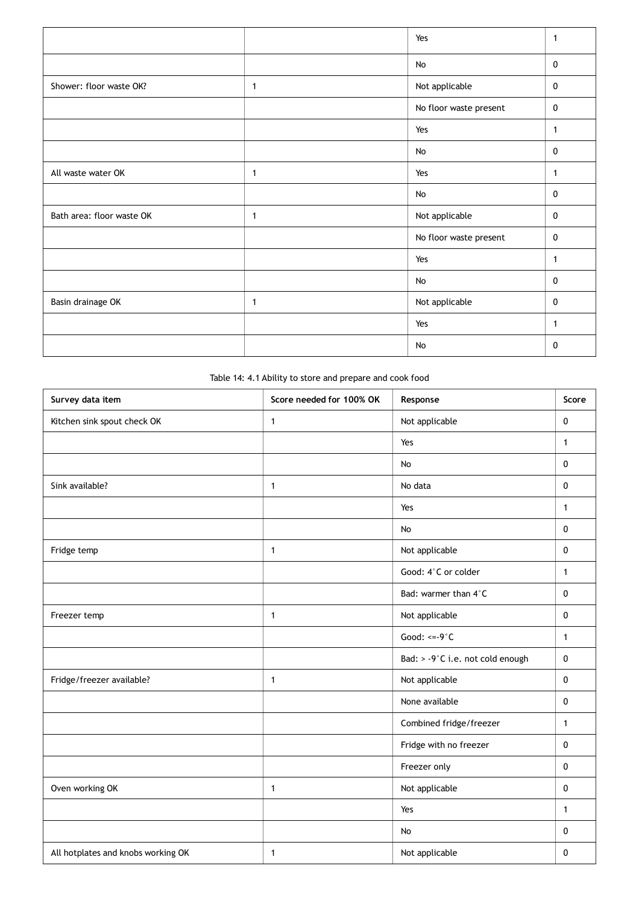|                           |   | Yes                    | 1            |
|---------------------------|---|------------------------|--------------|
|                           |   | No                     | 0            |
| Shower: floor waste OK?   | 1 | Not applicable         | 0            |
|                           |   | No floor waste present | 0            |
|                           |   | Yes                    | 1            |
|                           |   | No                     | $\mathbf 0$  |
| All waste water OK        | 1 | Yes                    | $\mathbf{1}$ |
|                           |   | No                     | $\mathbf 0$  |
| Bath area: floor waste OK | 1 | Not applicable         | $\mathbf{0}$ |
|                           |   | No floor waste present | 0            |
|                           |   | Yes                    | $\mathbf{1}$ |
|                           |   | No                     | 0            |
| Basin drainage OK         | 1 | Not applicable         | $\mathbf 0$  |
|                           |   | Yes                    | 1            |
|                           |   | No                     | 0            |

Table 14: 4.1 Ability to store and prepare and cook food

| Survey data item                   | Score needed for 100% OK | Response                         | Score        |
|------------------------------------|--------------------------|----------------------------------|--------------|
| Kitchen sink spout check OK        | $\mathbf{1}$             | Not applicable                   | 0            |
|                                    |                          | Yes                              | $\mathbf{1}$ |
|                                    |                          | No                               | $\mathbf 0$  |
| Sink available?                    | $\mathbf{1}$             | No data                          | 0            |
|                                    |                          | Yes                              | $\mathbf{1}$ |
|                                    |                          | No                               | $\mathbf 0$  |
| Fridge temp                        | $\mathbf{1}$             | Not applicable                   | 0            |
|                                    |                          | Good: 4°C or colder              | $\mathbf{1}$ |
|                                    |                          | Bad: warmer than 4°C             | $\mathbf 0$  |
| Freezer temp                       | $\mathbf{1}$             | Not applicable                   | 0            |
|                                    |                          | Good: $\leq -9^\circ C$          | $\mathbf{1}$ |
|                                    |                          | Bad: > -9°C i.e. not cold enough | $\pmb{0}$    |
| Fridge/freezer available?          | $\mathbf{1}$             | Not applicable                   | $\mathbf 0$  |
|                                    |                          | None available                   | 0            |
|                                    |                          | Combined fridge/freezer          | $\mathbf{1}$ |
|                                    |                          | Fridge with no freezer           | $\mathbf 0$  |
|                                    |                          | Freezer only                     | $\pmb{0}$    |
| Oven working OK                    | $\mathbf{1}$             | Not applicable                   | $\mathbf 0$  |
|                                    |                          | Yes                              | $\mathbf{1}$ |
|                                    |                          | <b>No</b>                        | 0            |
| All hotplates and knobs working OK | $\mathbf{1}$             | Not applicable                   | 0            |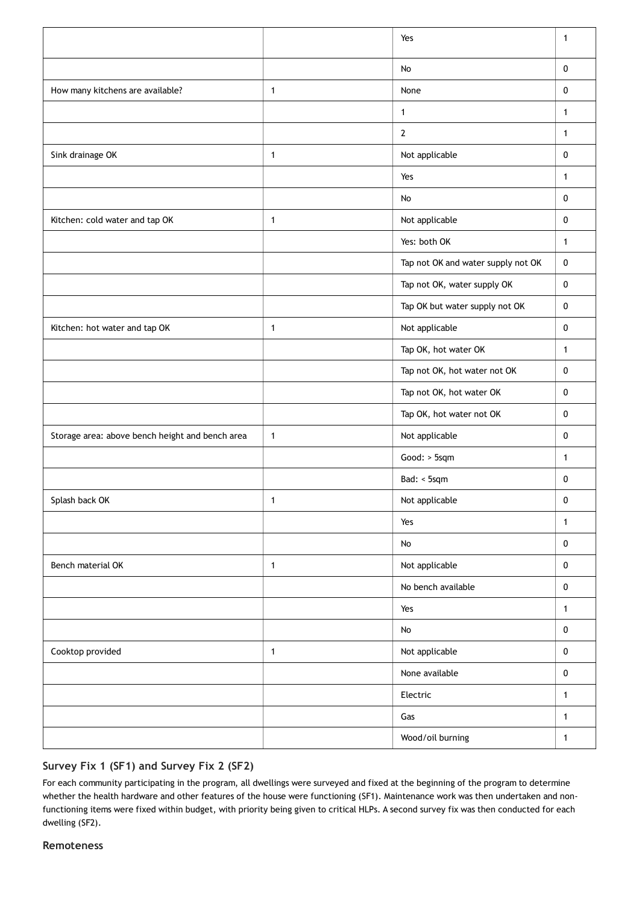|                                                 |              | Yes                                | $\mathbf{1}$ |
|-------------------------------------------------|--------------|------------------------------------|--------------|
|                                                 |              | No                                 | $\pmb{0}$    |
| How many kitchens are available?                | $\mathbf{1}$ | None                               | $\pmb{0}$    |
|                                                 |              | $\mathbf{1}$                       | $\mathbf{1}$ |
|                                                 |              | $\overline{2}$                     | $\mathbf{1}$ |
| Sink drainage OK                                | $\mathbf{1}$ | Not applicable                     | 0            |
|                                                 |              | Yes                                | $\mathbf{1}$ |
|                                                 |              | No                                 | $\mathbf 0$  |
| Kitchen: cold water and tap OK                  | $\mathbf{1}$ | Not applicable                     | 0            |
|                                                 |              | Yes: both OK                       | 1            |
|                                                 |              | Tap not OK and water supply not OK | $\pmb{0}$    |
|                                                 |              | Tap not OK, water supply OK        | 0            |
|                                                 |              | Tap OK but water supply not OK     | $\mathbf 0$  |
| Kitchen: hot water and tap OK                   | $\mathbf{1}$ | Not applicable                     | $\pmb{0}$    |
|                                                 |              | Tap OK, hot water OK               | 1            |
|                                                 |              | Tap not OK, hot water not OK       | 0            |
|                                                 |              | Tap not OK, hot water OK           | 0            |
|                                                 |              | Tap OK, hot water not OK           | 0            |
| Storage area: above bench height and bench area | $\mathbf{1}$ | Not applicable                     | $\pmb{0}$    |
|                                                 |              | Good: > 5sqm                       | $\mathbf{1}$ |
|                                                 |              | Bad: < 5sqm                        | 0            |
| Splash back OK                                  | 1            | Not applicable                     | 0            |
|                                                 |              | Yes                                | $\mathbf{1}$ |
|                                                 |              | No                                 | $\mathbf 0$  |
| Bench material OK                               | $\mathbf{1}$ | Not applicable                     | $\pmb{0}$    |
|                                                 |              | No bench available                 | 0            |
|                                                 |              | Yes                                | $\mathbf{1}$ |
|                                                 |              | No                                 | $\pmb{0}$    |
| Cooktop provided                                | $\mathbf{1}$ | Not applicable                     | $\pmb{0}$    |
|                                                 |              | None available                     | $\pmb{0}$    |
|                                                 |              | Electric                           | $\mathbf{1}$ |
|                                                 |              | Gas                                | $\mathbf{1}$ |
|                                                 |              | Wood/oil burning                   | $\mathbf{1}$ |

## **Survey Fix 1 (SF1) and Survey Fix 2 (SF2)**

For each community participating in the program, all dwellings were surveyed and fixed at the beginning of the program to determine whether the health hardware and other features of the house were functioning (SF1). Maintenance work was then undertaken and nonfunctioning items were fixed within budget, with priority being given to critical HLPs. A second survey fix was then conducted for each dwelling (SF2).

#### **Remoteness**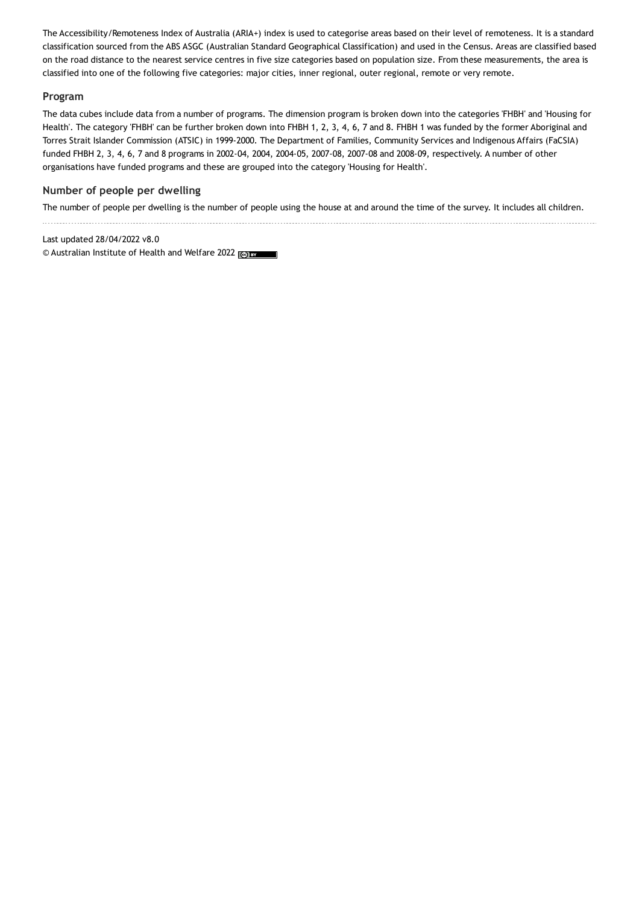The Accessibility/Remoteness Index of Australia (ARIA+) index is used to categorise areas based on their level of remoteness. It is a standard classification sourced from the ABS ASGC (Australian Standard Geographical Classification) and used in the Census. Areas are classified based on the road distance to the nearest service centres in five size categories based on population size. From these measurements, the area is classified into one of the following five categories: major cities, inner regional, outer regional, remote or very remote.

#### **Program**

The data cubes include data from a number of programs. The dimension program is broken down into the categories 'FHBH' and 'Housing for Health'. The category 'FHBH' can be further broken down into FHBH 1, 2, 3, 4, 6, 7 and 8. FHBH 1 was funded by the former Aboriginal and Torres Strait Islander Commission (ATSIC) in 1999-2000. The Department of Families, Community Services and Indigenous Affairs (FaCSIA) funded FHBH 2, 3, 4, 6, 7 and 8 programs in 2002-04, 2004, 2004-05, 2007-08, 2007-08 and 2008-09, respectively. A number of other organisations have funded programs and these are grouped into the category 'Housing for Health'.

### **Number of people per dwelling**

The number of people per dwelling is the number of people using the house at and around the time of the survey. It includes all children.

Last updated 28/04/2022 v8.0 © Australian Institute of Health and Welfare 2022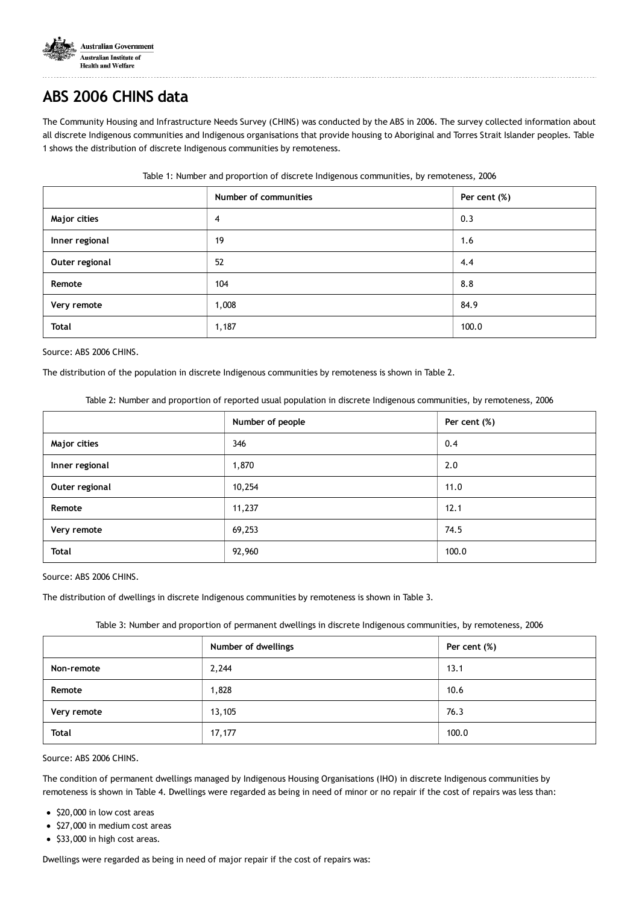

# **ABS 2006 CHINS data**

The Community Housing and Infrastructure Needs Survey (CHINS) was conducted by the ABS in 2006. The survey collected information about all discrete Indigenous communities and Indigenous organisations that provide housing to Aboriginal and Torres Strait Islander peoples. Table 1 shows the distribution of discrete Indigenous communities by remoteness.

|                | Number of communities | Per cent (%) |
|----------------|-----------------------|--------------|
| Major cities   | 4                     | 0.3          |
| Inner regional | 19                    | 1.6          |
| Outer regional | 52                    | 4.4          |
| Remote         | 104                   | 8.8          |
| Very remote    | 1,008                 | 84.9         |
| <b>Total</b>   | 1,187                 | 100.0        |

#### Table 1: Number and proportion of discrete Indigenous communities, by remoteness, 2006

Source: ABS 2006 CHINS.

The distribution of the population in discrete Indigenous communities by remoteness is shown in Table 2.

Table 2: Number and proportion of reported usual population in discrete Indigenous communities, by remoteness, 2006

|                | Number of people | Per cent (%) |
|----------------|------------------|--------------|
| Major cities   | 346              | 0.4          |
| Inner regional | 1,870            | 2.0          |
| Outer regional | 10,254           | 11.0         |
| Remote         | 11,237           | 12.1         |
| Very remote    | 69,253           | 74.5         |
| <b>Total</b>   | 92,960           | 100.0        |

Source: ABS 2006 CHINS.

The distribution of dwellings in discrete Indigenous communities by remoteness is shown in Table 3.

Table 3: Number and proportion of permanent dwellings in discrete Indigenous communities, by remoteness, 2006

|              | Number of dwellings | Per cent (%) |
|--------------|---------------------|--------------|
| Non-remote   | 2,244               | 13.1         |
| Remote       | 1,828               | 10.6         |
| Very remote  | 13,105              | 76.3         |
| <b>Total</b> | 17,177              | 100.0        |

Source: ABS 2006 CHINS.

The condition of permanent dwellings managed by Indigenous Housing Organisations (IHO) in discrete Indigenous communities by remoteness is shown in Table 4. Dwellings were regarded as being in need of minor or no repair if the cost of repairs was less than:

- \$20,000 in low cost areas
- $\bullet$  \$27,000 in medium cost areas
- $\bullet$  \$33,000 in high cost areas.

Dwellings were regarded as being in need of major repair if the cost of repairs was: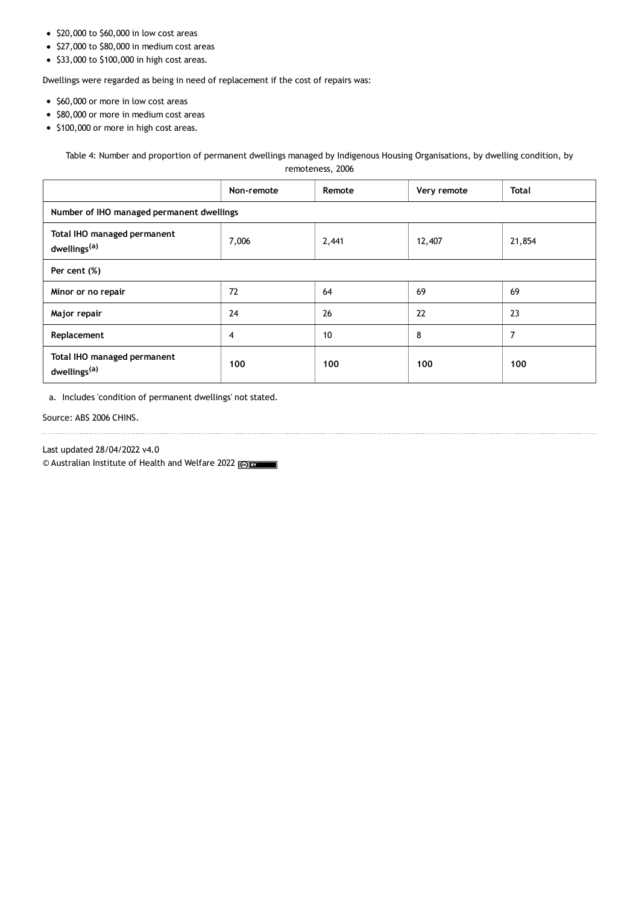- $\bullet$  \$20,000 to \$60,000 in low cost areas
- $\bullet$  \$27,000 to \$80,000 in medium cost areas
- $\bullet$  \$33,000 to \$100,000 in high cost areas.

Dwellings were regarded as being in need of replacement if the cost of repairs was:

- \$60,000 or more in low cost areas
- \$80,000 or more in medium cost areas
- $\bullet$  \$100,000 or more in high cost areas.

Table 4: Number and proportion of permanent dwellings managed by Indigenous Housing Organisations, by dwelling condition, by

remoteness, 2006

|                                                         | Non-remote | Remote | Very remote | <b>Total</b> |
|---------------------------------------------------------|------------|--------|-------------|--------------|
| Number of IHO managed permanent dwellings               |            |        |             |              |
| Total IHO managed permanent<br>dwellings <sup>(a)</sup> | 7,006      | 2,441  | 12,407      | 21,854       |
| Per cent (%)                                            |            |        |             |              |
| Minor or no repair                                      | 72         | 64     | 69          | 69           |
| Major repair                                            | 24         | 26     | 22          | 23           |
| Replacement                                             | 4          | 10     | 8           | 7            |
| Total IHO managed permanent<br>dwellings <sup>(a)</sup> | 100        | 100    | 100         | 100          |

a. Includes 'condition of permanent dwellings' not stated.

Source: ABS 2006 CHINS.

Last updated 28/04/2022 v4.0

© Australian Institute of Health and Welfare 2022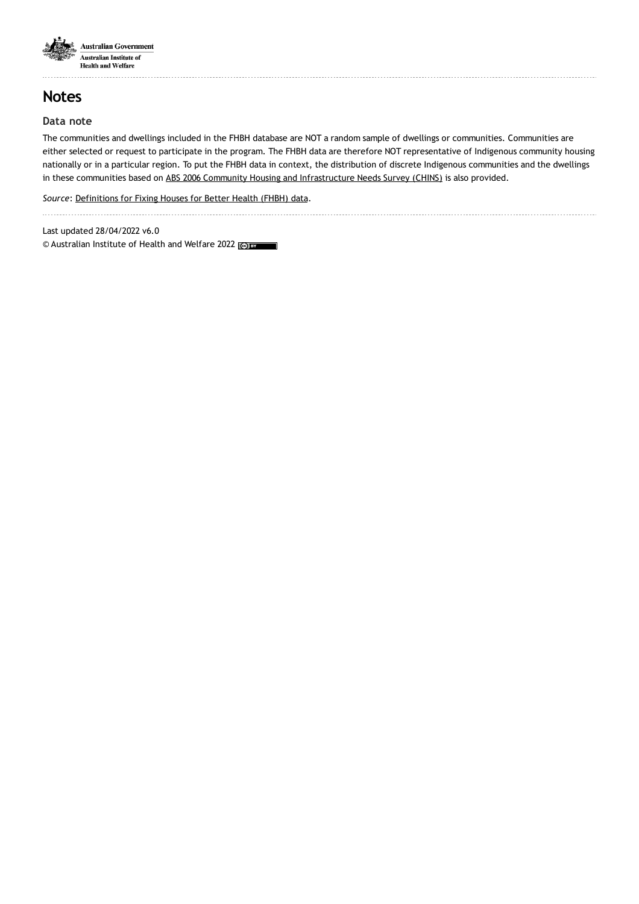

## **Notes**

### **Data note**

The communities and dwellings included in the FHBH database are NOT a random sample of dwellings or communities. Communities are either selected or request to participate in the program. The FHBH data are therefore NOT representative of Indigenous community housing nationally or in a particular region. To put the FHBH data in context, the distribution of discrete Indigenous communities and the dwellings in these communities based on ABS 2006 Community Housing and [Infrastructure](https://www.aihw.gov.au/reports/indigenous-australians/fhbh-data-cubes/contents/abs-2006-chins-data) Needs Survey (CHINS) is also provided.

*Source*: [Definitions](https://www.aihw.gov.au/reports/indigenous-australians/fhbh-data-cubes/contents/definitions) for Fixing Houses for Better Health (FHBH) data. 

Last updated 28/04/2022 v6.0 © Australian Institute of Health and Welfare 2022 (co) BY